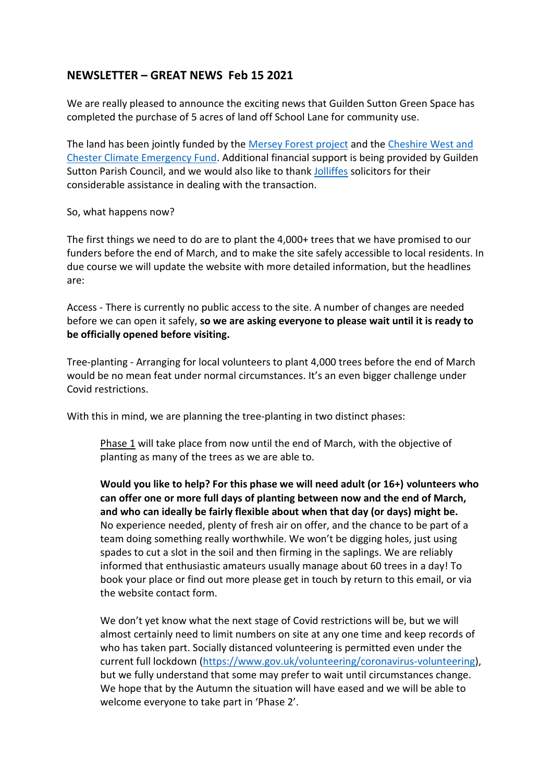## **NEWSLETTER – GREAT NEWS Feb 15 2021**

We are really pleased to announce the exciting news that Guilden Sutton Green Space has completed the purchase of 5 acres of land off School Lane for community use.

The land has been jointly funded by the [Mersey Forest project](https://www.merseyforest.org.uk/) and the [Cheshire West and](https://www.cheshirewestandchester.gov.uk/your-council/councillors-and-committees/the-climate-emergency/the-climate-emergency.aspx)  [Chester Climate Emergency Fund.](https://www.cheshirewestandchester.gov.uk/your-council/councillors-and-committees/the-climate-emergency/the-climate-emergency.aspx) Additional financial support is being provided by Guilden Sutton Parish Council, and we would also like to thank [Jolliffes](https://jolliffes.com/) solicitors for their considerable assistance in dealing with the transaction.

So, what happens now?

The first things we need to do are to plant the 4,000+ trees that we have promised to our funders before the end of March, and to make the site safely accessible to local residents. In due course we will update the website with more detailed information, but the headlines are:

Access - There is currently no public access to the site. A number of changes are needed before we can open it safely, **so we are asking everyone to please wait until it is ready to be officially opened before visiting.**

Tree-planting - Arranging for local volunteers to plant 4,000 trees before the end of March would be no mean feat under normal circumstances. It's an even bigger challenge under Covid restrictions.

With this in mind, we are planning the tree-planting in two distinct phases:

Phase 1 will take place from now until the end of March, with the objective of planting as many of the trees as we are able to.

**Would you like to help? For this phase we will need adult (or 16+) volunteers who can offer one or more full days of planting between now and the end of March, and who can ideally be fairly flexible about when that day (or days) might be.**  No experience needed, plenty of fresh air on offer, and the chance to be part of a team doing something really worthwhile. We won't be digging holes, just using spades to cut a slot in the soil and then firming in the saplings. We are reliably informed that enthusiastic amateurs usually manage about 60 trees in a day! To book your place or find out more please get in touch by return to this email, or via the website contact form.

We don't yet know what the next stage of Covid restrictions will be, but we will almost certainly need to limit numbers on site at any one time and keep records of who has taken part. Socially distanced volunteering is permitted even under the current full lockdown [\(https://www.gov.uk/volunteering/coronavirus-volunteering\)](https://www.gov.uk/volunteering/coronavirus-volunteering), but we fully understand that some may prefer to wait until circumstances change. We hope that by the Autumn the situation will have eased and we will be able to welcome everyone to take part in 'Phase 2'.